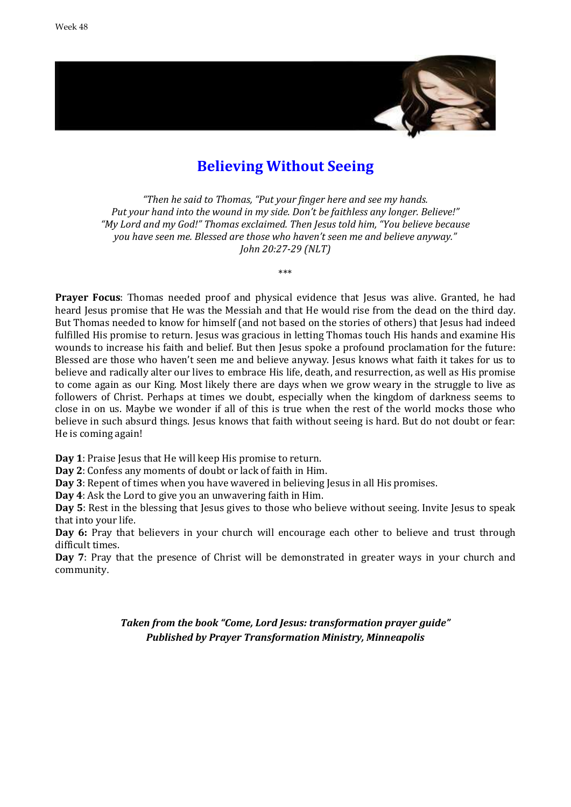

## **Believing Without Seeing**

*"Then he said to Thomas, "Put your finger here and see my hands. Put your hand into the wound in my side. Don't be faithless any longer. Believe!" "My Lord and my God!" Thomas exclaimed. Then Jesus told him, "You believe because you have seen me. Blessed are those who haven't seen me and believe anyway." John 20:27-29 (NLT)*

\*\*\*

**Prayer Focus**: Thomas needed proof and physical evidence that Jesus was alive. Granted, he had heard Jesus promise that He was the Messiah and that He would rise from the dead on the third day. But Thomas needed to know for himself (and not based on the stories of others) that Jesus had indeed fulfilled His promise to return. Jesus was gracious in letting Thomas touch His hands and examine His wounds to increase his faith and belief. But then Jesus spoke a profound proclamation for the future: Blessed are those who haven't seen me and believe anyway. Jesus knows what faith it takes for us to believe and radically alter our lives to embrace His life, death, and resurrection, as well as His promise to come again as our King. Most likely there are days when we grow weary in the struggle to live as followers of Christ. Perhaps at times we doubt, especially when the kingdom of darkness seems to close in on us. Maybe we wonder if all of this is true when the rest of the world mocks those who believe in such absurd things. Jesus knows that faith without seeing is hard. But do not doubt or fear: He is coming again!

**Day 1**: Praise Jesus that He will keep His promise to return.

**Day 2**: Confess any moments of doubt or lack of faith in Him.

**Day 3**: Repent of times when you have wavered in believing Jesus in all His promises.

**Day 4**: Ask the Lord to give you an unwavering faith in Him.

**Day 5**: Rest in the blessing that Jesus gives to those who believe without seeing. Invite Jesus to speak that into your life.

**Day 6:** Pray that believers in your church will encourage each other to believe and trust through difficult times.

**Day 7**: Pray that the presence of Christ will be demonstrated in greater ways in your church and community.

> *Taken from the book "Come, Lord Jesus: transformation prayer guide" Published by Prayer Transformation Ministry, Minneapolis*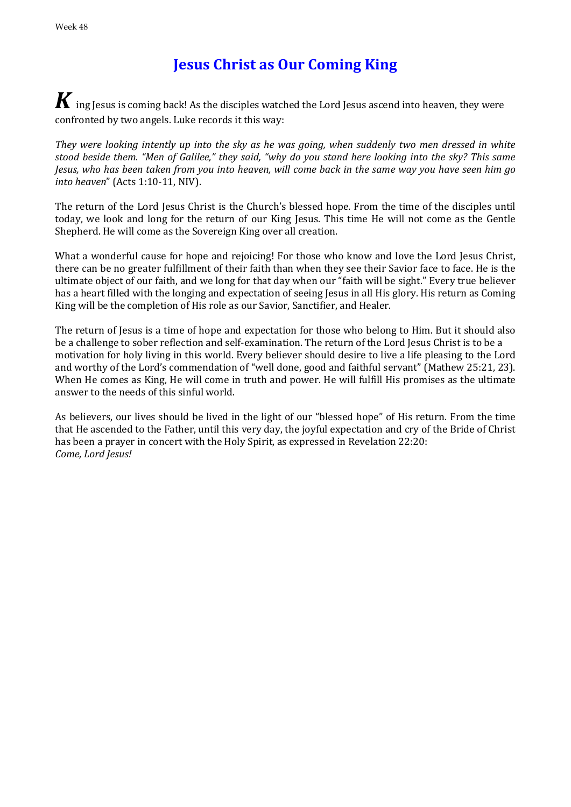# **Jesus Christ as Our Coming King**

 $\boldsymbol{K}$  ing Jesus is coming back! As the disciples watched the Lord Jesus ascend into heaven, they were confronted by two angels. Luke records it this way:

*They were looking intently up into the sky as he was going, when suddenly two men dressed in white stood beside them. "Men of Galilee," they said, "why do you stand here looking into the sky? This same Jesus, who has been taken from you into heaven, will come back in the same way you have seen him go into heaven*" (Acts 1:10-11, NIV).

The return of the Lord Jesus Christ is the Church's blessed hope. From the time of the disciples until today, we look and long for the return of our King Jesus. This time He will not come as the Gentle Shepherd. He will come as the Sovereign King over all creation.

What a wonderful cause for hope and rejoicing! For those who know and love the Lord Jesus Christ. there can be no greater fulfillment of their faith than when they see their Savior face to face. He is the ultimate object of our faith, and we long for that day when our "faith will be sight." Every true believer has a heart filled with the longing and expectation of seeing Jesus in all His glory. His return as Coming King will be the completion of His role as our Savior, Sanctifier, and Healer.

The return of Jesus is a time of hope and expectation for those who belong to Him. But it should also be a challenge to sober reflection and self-examination. The return of the Lord Jesus Christ is to be a motivation for holy living in this world. Every believer should desire to live a life pleasing to the Lord and worthy of the Lord's commendation of "well done, good and faithful servant" (Mathew 25:21, 23). When He comes as King, He will come in truth and power. He will fulfill His promises as the ultimate answer to the needs of this sinful world.

As believers, our lives should be lived in the light of our "blessed hope" of His return. From the time that He ascended to the Father, until this very day, the joyful expectation and cry of the Bride of Christ has been a prayer in concert with the Holy Spirit, as expressed in Revelation 22:20: *Come, Lord Jesus!*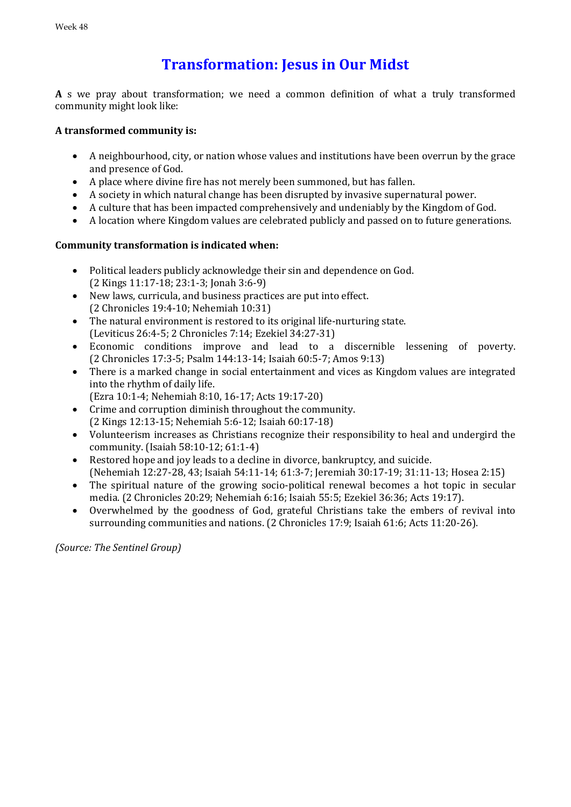# **Transformation: Jesus in Our Midst**

**A** s we pray about transformation; we need a common definition of what a truly transformed community might look like:

## **A transformed community is:**

- A neighbourhood, city, or nation whose values and institutions have been overrun by the grace and presence of God.
- A place where divine fire has not merely been summoned, but has fallen.
- A society in which natural change has been disrupted by invasive supernatural power.
- A culture that has been impacted comprehensively and undeniably by the Kingdom of God.
- A location where Kingdom values are celebrated publicly and passed on to future generations.

## **Community transformation is indicated when:**

- Political leaders publicly acknowledge their sin and dependence on God. (2 Kings 11:17-18; 23:1-3; Jonah 3:6-9)
- New laws, curricula, and business practices are put into effect. (2 Chronicles 19:4-10; Nehemiah 10:31)
- The natural environment is restored to its original life-nurturing state. (Leviticus 26:4-5; 2 Chronicles 7:14; Ezekiel 34:27-31)
- Economic conditions improve and lead to a discernible lessening of poverty. (2 Chronicles 17:3-5; Psalm 144:13-14; Isaiah 60:5-7; Amos 9:13)
- There is a marked change in social entertainment and vices as Kingdom values are integrated into the rhythm of daily life.
	- (Ezra 10:1-4; Nehemiah 8:10, 16-17; Acts 19:17-20)
- Crime and corruption diminish throughout the community. (2 Kings 12:13-15; Nehemiah 5:6-12; Isaiah 60:17-18)
- Volunteerism increases as Christians recognize their responsibility to heal and undergird the community. (Isaiah 58:10-12; 61:1-4)
- Restored hope and joy leads to a decline in divorce, bankruptcy, and suicide. (Nehemiah 12:27-28, 43; Isaiah 54:11-14; 61:3-7; Jeremiah 30:17-19; 31:11-13; Hosea 2:15)
- The spiritual nature of the growing socio-political renewal becomes a hot topic in secular media. (2 Chronicles 20:29; Nehemiah 6:16; Isaiah 55:5; Ezekiel 36:36; Acts 19:17).
- Overwhelmed by the goodness of God, grateful Christians take the embers of revival into surrounding communities and nations. (2 Chronicles 17:9; Isaiah 61:6; Acts 11:20-26).

*(Source: The Sentinel Group)*